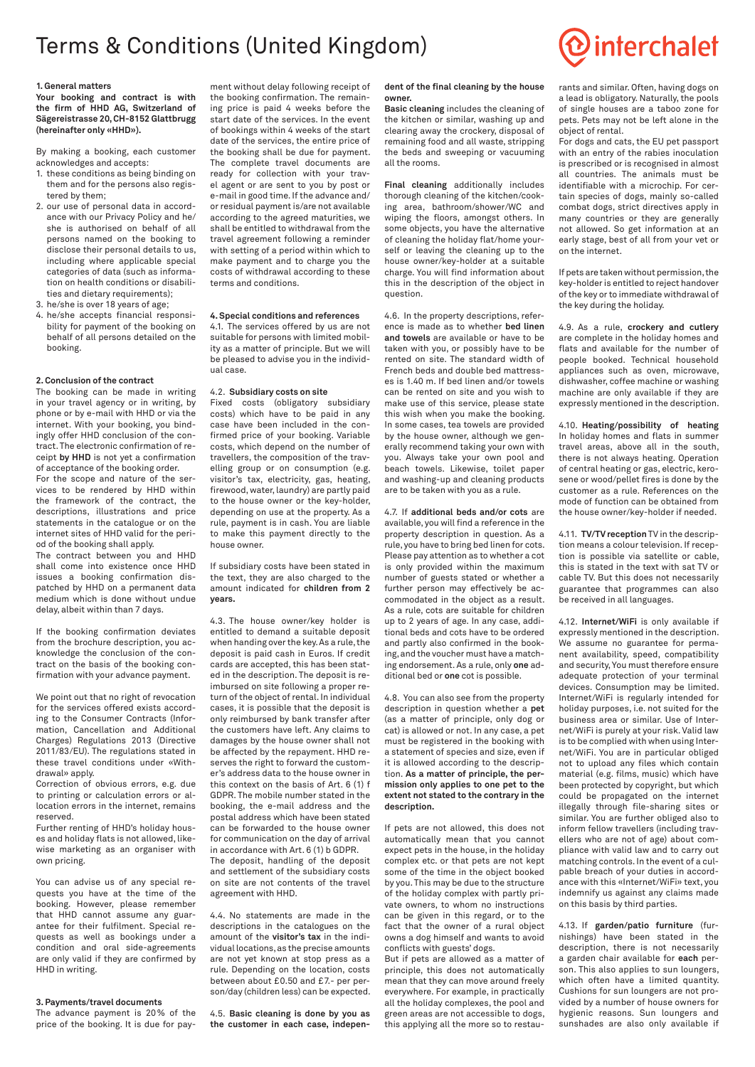# Terms & Conditions (United Kingdom)

# **1. General matters**

**Your booking and contract is with the firm of HHD AG, Switzerland of Sägereistrasse 20, CH-8152 Glattbrugg (hereinafter only «HHD»).**

By making a booking, each customer acknowledges and accepts:

- 1. these conditions as being binding on them and for the persons also registered by them;
- 2. our use of personal data in accordance with our Privacy Policy and he/ she is authorised on behalf of all persons named on the booking to disclose their personal details to us, including where applicable special categories of data (such as information on health conditions or disabilities and dietary requirements);
- 3. he/she is over 18 years of age;
- 4. he/she accepts financial responsibility for payment of the booking on behalf of all persons detailed on the booking.

# **2. Conclusion of the contract**

The booking can be made in writing in your travel agency or in writing, by phone or by e-mail with HHD or via the internet. With your booking, you bindingly offer HHD conclusion of the contract. The electronic confirmation of receipt **by HHD** is not yet a confirmation of acceptance of the booking order.

For the scope and nature of the services to be rendered by HHD within the framework of the contract, the descriptions, illustrations and price statements in the catalogue or on the internet sites of HHD valid for the period of the booking shall apply.

The contract between you and HHD shall come into existence once HHD issues a booking confirmation dispatched by HHD on a permanent data medium which is done without undue delay, albeit within than 7 days.

If the booking confirmation deviates from the brochure description, you acknowledge the conclusion of the contract on the basis of the booking confirmation with your advance payment.

We point out that no right of revocation for the services offered exists according to the Consumer Contracts (Information, Cancellation and Additional Charges) Regulations 2013 (Directive 2011/83/EU). The regulations stated in these travel conditions under «Withdrawal» apply.

Correction of obvious errors, e.g. due to printing or calculation errors or allocation errors in the internet, remains reserved.

Further renting of HHD's holiday houses and holiday flats is not allowed, likewise marketing as an organiser with own pricing.

You can advise us of any special requests you have at the time of the booking. However, please remember that HHD cannot assume any guarantee for their fulfilment. Special requests as well as bookings under a condition and oral side-agreements are only valid if they are confirmed by HHD in writing.

## **3. Payments/travel documents**

The advance payment is 20% of the price of the booking. It is due for pay-

ment without delay following receipt of the booking confirmation. The remaining price is paid 4 weeks before the start date of the services. In the event of bookings within 4 weeks of the start date of the services, the entire price of the booking shall be due for payment. The complete travel documents are ready for collection with your travel agent or are sent to you by post or e-mail in good time. If the advance and/ or residual payment is/are not available according to the agreed maturities, we shall be entitled to withdrawal from the travel agreement following a reminder with setting of a period within which to make payment and to charge you the costs of withdrawal according to these terms and conditions.

# **4. Special conditions and references**

4.1. The services offered by us are not suitable for persons with limited mobility as a matter of principle. But we will be pleased to advise you in the individual case.

# 4.2. **Subsidiary costs on site**

Fixed costs (obligatory subsidiary costs) which have to be paid in any case have been included in the confirmed price of your booking. Variable costs, which depend on the number of travellers, the composition of the travelling group or on consumption (e.g. visitor's tax, electricity, gas, heating, firewood, water, laundry) are partly paid to the house owner or the key-holder, depending on use at the property. As a rule, payment is in cash. You are liable to make this payment directly to the house owner.

If subsidiary costs have been stated in the text, they are also charged to the amount indicated for **children from 2 years.** 

4.3. The house owner/key holder is entitled to demand a suitable deposit when handing over the key. As a rule, the deposit is paid cash in Euros. If credit cards are accepted, this has been stated in the description. The deposit is reimbursed on site following a proper return of the object of rental. In individual cases, it is possible that the deposit is only reimbursed by bank transfer after the customers have left. Any claims to damages by the house owner shall not be affected by the repayment. HHD reserves the right to forward the customer's address data to the house owner in this context on the basis of Art. 6 (1) f GDPR. The mobile number stated in the booking, the e-mail address and the postal address which have been stated can be forwarded to the house owner for communication on the day of arrival in accordance with Art. 6 (1) b GDPR.

The deposit, handling of the deposit and settlement of the subsidiary costs on site are not contents of the travel agreement with HHD.

4.4. No statements are made in the descriptions in the catalogues on the amount of the **visitor's tax** in the individual locations, as the precise amounts are not yet known at stop press as a rule. Depending on the location, costs between about £0.50 and £7.- per person/day (children less) can be expected.

4.5. **Basic cleaning is done by you as the customer in each case, indepen-**

# **dent of the final cleaning by the house owner.**

**Basic cleaning** includes the cleaning of the kitchen or similar, washing up and clearing away the crockery, disposal of remaining food and all waste, stripping the beds and sweeping or vacuuming all the rooms.

**Final cleaning** additionally includes thorough cleaning of the kitchen/cooking area, bathroom/shower/WC and wiping the floors, amongst others. In some objects, you have the alternative of cleaning the holiday flat/home yourself or leaving the cleaning up to the house owner/key-holder at a suitable charge. You will find information about this in the description of the object in question.

4.6. In the property descriptions, reference is made as to whether **bed linen and towels** are available or have to be taken with you, or possibly have to be rented on site. The standard width of French beds and double bed mattresses is 1.40 m. If bed linen and/or towels can be rented on site and you wish to make use of this service, please state this wish when you make the booking. In some cases, tea towels are provided by the house owner, although we generally recommend taking your own with you. Always take your own pool and beach towels. Likewise, toilet paper and washing-up and cleaning products are to be taken with you as a rule.

4.7. If **additional beds and/or cots** are available, you will find a reference in the property description in question. As a rule, you have to bring bed linen for cots. Please pay attention as to whether a cot is only provided within the maximum number of guests stated or whether a further person may effectively be accommodated in the object as a result. As a rule, cots are suitable for children up to 2 years of age. In any case, additional beds and cots have to be ordered and partly also confirmed in the booking, and the voucher must have a matching endorsement. As a rule, only **one** additional bed or **one** cot is possible.

4.8. You can also see from the property description in question whether a **pet** (as a matter of principle, only dog or cat) is allowed or not. In any case, a pet must be registered in the booking with a statement of species and size, even if it is allowed according to the description. **As a matter of principle, the permission only applies to one pet to the extent not stated to the contrary in the description.**

If pets are not allowed, this does not automatically mean that you cannot expect pets in the house, in the holiday complex etc. or that pets are not kept some of the time in the object booked by you. This may be due to the structure of the holiday complex with partly private owners, to whom no instructions can be given in this regard, or to the fact that the owner of a rural object owns a dog himself and wants to avoid conflicts with guests' dogs.

But if pets are allowed as a matter of principle, this does not automatically mean that they can move around freely everywhere. For example, in practically all the holiday complexes, the pool and green areas are not accessible to dogs, this applying all the more so to restaurants and similar. Often, having dogs on a lead is obligatory. Naturally, the pools of single houses are a taboo zone for pets. Pets may not be left alone in the object of rental.

For dogs and cats, the EU pet passport with an entry of the rabies inoculation is prescribed or is recognised in almost all countries. The animals must be identifiable with a microchip. For certain species of dogs, mainly so-called combat dogs, strict directives apply in many countries or they are generally not allowed. So get information at an early stage, best of all from your vet or on the internet.

If pets are taken without permission, the key-holder is entitled to reject handover of the key or to immediate withdrawal of the key during the holiday.

4.9. As a rule, **crockery and cutlery** are complete in the holiday homes and flats and available for the number of people booked. Technical household appliances such as oven, microwave, dishwasher, coffee machine or washing machine are only available if they are expressly mentioned in the description.

4.10. **Heating/possibility of heating** In holiday homes and flats in summer travel areas, above all in the south, there is not always heating. Operation of central heating or gas, electric, kerosene or wood/pellet fires is done by the customer as a rule. References on the mode of function can be obtained from the house owner/key-holder if needed.

4.11. **TV/TV reception** TV in the description means a colour television. If reception is possible via satellite or cable, this is stated in the text with sat TV or cable TV. But this does not necessarily guarantee that programmes can also be received in all languages.

4.12. **Internet/WiFi** is only available if expressly mentioned in the description. We assume no guarantee for permanent availability, speed, compatibility and security, You must therefore ensure adequate protection of your terminal devices. Consumption may be limited. Internet/WiFi is regularly intended for holiday purposes, i.e. not suited for the business area or similar. Use of Internet/WiFi is purely at your risk. Valid law is to be complied with when using Internet/WiFi. You are in particular obliged not to upload any files which contain material (e.g. films, music) which have been protected by copyright, but which could be propagated on the internet illegally through file-sharing sites or similar. You are further obliged also to inform fellow travellers (including travellers who are not of age) about compliance with valid law and to carry out matching controls. In the event of a culpable breach of your duties in accordance with this «Internet/WiFi» text, you indemnify us against any claims made on this basis by third parties.

4.13. If **garden/patio furniture** (furnishings) have been stated in the description, there is not necessarily a garden chair available for **each** person. This also applies to sun loungers, which often have a limited quantity. Cushions for sun loungers are not provided by a number of house owners for hygienic reasons. Sun loungers and sunshades are also only available if

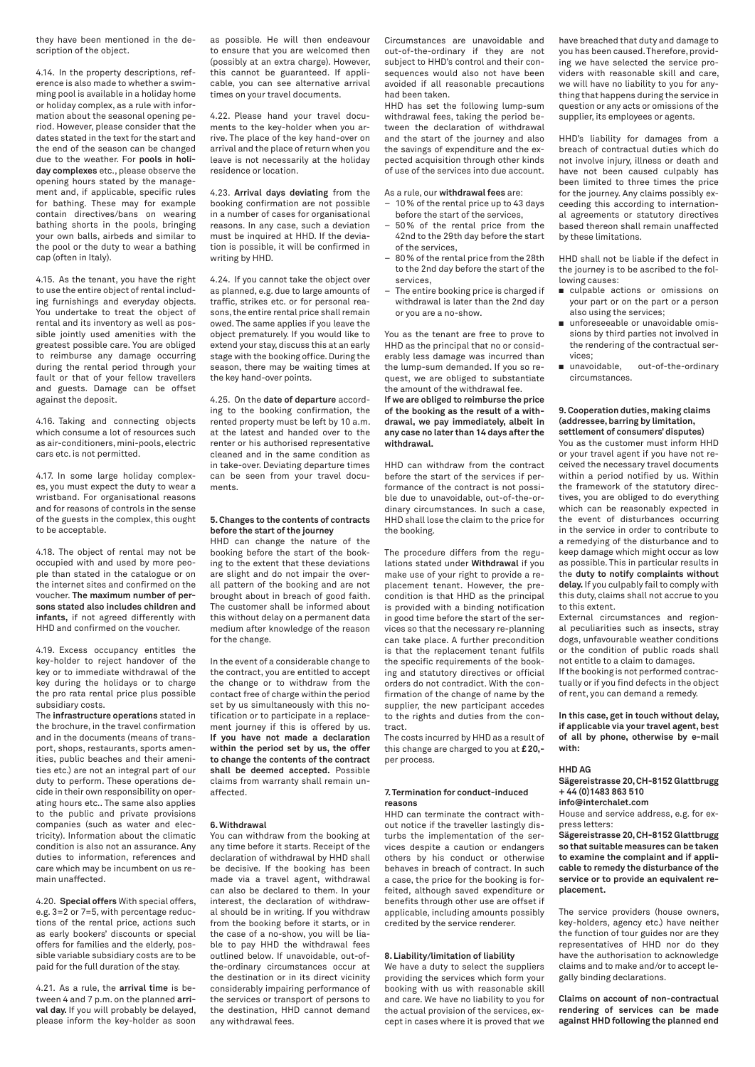they have been mentioned in the description of the object.

4.14. In the property descriptions, reference is also made to whether a swimming pool is available in a holiday home or holiday complex, as a rule with information about the seasonal opening period. However, please consider that the dates stated in the text for the start and the end of the season can be changed due to the weather. For **pools in holiday complexes** etc., please observe the opening hours stated by the management and, if applicable, specific rules for bathing. These may for example contain directives/bans on wearing bathing shorts in the pools, bringing your own balls, airbeds and similar to the pool or the duty to wear a bathing cap (often in Italy).

4.15. As the tenant, you have the right to use the entire object of rental including furnishings and everyday objects. You undertake to treat the object of rental and its inventory as well as possible jointly used amenities with the greatest possible care. You are obliged to reimburse any damage occurring during the rental period through your fault or that of your fellow travellers and guests. Damage can be offset against the deposit.

4.16. Taking and connecting objects which consume a lot of resources such as air-conditioners, mini-pools, electric cars etc. is not permitted.

4.17. In some large holiday complexes, you must expect the duty to wear a wristband. For organisational reasons and for reasons of controls in the sense of the guests in the complex, this ought to be acceptable.

4.18. The object of rental may not be occupied with and used by more people than stated in the catalogue or on the internet sites and confirmed on the voucher. **The maximum number of persons stated also includes children and infants,** if not agreed differently with HHD and confirmed on the voucher.

4.19. Excess occupancy entitles the key-holder to reject handover of the key or to immediate withdrawal of the key during the holidays or to charge the pro rata rental price plus possible subsidiary costs.

The **infrastructure operations** stated in the brochure, in the travel confirmation and in the documents (means of transport, shops, restaurants, sports amenities, public beaches and their amenities etc.) are not an integral part of our duty to perform. These operations decide in their own responsibility on operating hours etc.. The same also applies to the public and private provisions companies (such as water and electricity). Information about the climatic condition is also not an assurance. Any duties to information, references and care which may be incumbent on us remain unaffected.

4.20. **Special offers** With special offers, e.g. 3=2 or 7=5, with percentage reductions of the rental price, actions such as early bookers' discounts or special offers for families and the elderly, possible variable subsidiary costs are to be paid for the full duration of the stay.

4.21. As a rule, the **arrival time** is between 4 and 7 p.m. on the planned **arrival day.** If you will probably be delayed, please inform the key-holder as soon as possible. He will then endeavour to ensure that you are welcomed then (possibly at an extra charge). However, this cannot be guaranteed. If applicable, you can see alternative arrival times on your travel documents.

4.22. Please hand your travel documents to the key-holder when you arrive. The place of the key hand-over on arrival and the place of return when you leave is not necessarily at the holiday residence or location.

4.23. **Arrival days deviating** from the booking confirmation are not possible in a number of cases for organisational reasons. In any case, such a deviation must be inquired at HHD. If the deviation is possible, it will be confirmed in writing by HHD.

4.24. If you cannot take the object over as planned, e.g. due to large amounts of traffic, strikes etc. or for personal reasons, the entire rental price shall remain owed. The same applies if you leave the object prematurely. If you would like to extend your stay, discuss this at an early stage with the booking office. During the season, there may be waiting times at the key hand-over points.

4.25. On the **date of departure** according to the booking confirmation, the rented property must be left by 10 a.m. at the latest and handed over to the renter or his authorised representative cleaned and in the same condition as in take-over. Deviating departure times can be seen from your travel documents.

## **5. Changes to the contents of contracts before the start of the journey**

HHD can change the nature of the booking before the start of the booking to the extent that these deviations are slight and do not impair the overall pattern of the booking and are not brought about in breach of good faith. The customer shall be informed about this without delay on a permanent data medium after knowledge of the reason for the change.

In the event of a considerable change to the contract, you are entitled to accept the change or to withdraw from the contact free of charge within the period set by us simultaneously with this notification or to participate in a replacement journey if this is offered by us. **If you have not made a declaration within the period set by us, the offer to change the contents of the contract shall be deemed accepted.** Possible claims from warranty shall remain unaffected.

#### **6. Withdrawal**

You can withdraw from the booking at any time before it starts. Receipt of the declaration of withdrawal by HHD shall be decisive. If the booking has been made via a travel agent, withdrawal can also be declared to them. In your interest, the declaration of withdrawal should be in writing. If you withdraw from the booking before it starts, or in the case of a no-show, you will be liable to pay HHD the withdrawal fees outlined below. If unavoidable, out-ofthe-ordinary circumstances occur at the destination or in its direct vicinity considerably impairing performance of the services or transport of persons to the destination, HHD cannot demand any withdrawal fees.

Circumstances are unavoidable and out-of-the-ordinary if they are not subject to HHD's control and their consequences would also not have been avoided if all reasonable precautions had been taken.

HHD has set the following lump-sum withdrawal fees, taking the period between the declaration of withdrawal and the start of the journey and also the savings of expenditure and the expected acquisition through other kinds of use of the services into due account.

As a rule, our **withdrawal fees** are:

- 10% of the rental price up to 43 days before the start of the services,
- 50% of the rental price from the 42nd to the 29th day before the start of the services,
- 80% of the rental price from the 28th to the 2nd day before the start of the services,
- The entire booking price is charged if withdrawal is later than the 2nd day or you are a no-show.

You as the tenant are free to prove to HHD as the principal that no or considerably less damage was incurred than the lump-sum demanded. If you so request, we are obliged to substantiate the amount of the withdrawal fee. **If we are obliged to reimburse the price of the booking as the result of a withdrawal, we pay immediately, albeit in any case no later than 14 days after the withdrawal.**

HHD can withdraw from the contract before the start of the services if performance of the contract is not possible due to unavoidable, out-of-the-ordinary circumstances. In such a case, HHD shall lose the claim to the price for the booking.

The procedure differs from the regulations stated under **Withdrawal** if you make use of your right to provide a replacement tenant. However, the precondition is that HHD as the principal is provided with a binding notification in good time before the start of the services so that the necessary re-planning can take place. A further precondition is that the replacement tenant fulfils the specific requirements of the booking and statutory directives or official orders do not contradict. With the confirmation of the change of name by the supplier, the new participant accedes to the rights and duties from the contract.

The costs incurred by HHD as a result of this change are charged to you at **£20,** per process.

#### **7. Termination for conduct-induced reasons**

HHD can terminate the contract without notice if the traveller lastingly disturbs the implementation of the services despite a caution or endangers others by his conduct or otherwise behaves in breach of contract. In such a case, the price for the booking is forfeited, although saved expenditure or benefits through other use are offset if applicable, including amounts possibly credited by the service renderer.

# **8. Liability/limitation of liability**

We have a duty to select the suppliers providing the services which form your booking with us with reasonable skill and care. We have no liability to you for the actual provision of the services, except in cases where it is proved that we have breached that duty and damage to you has been caused. Therefore, providing we have selected the service providers with reasonable skill and care, we will have no liability to you for anything that happens during the service in question or any acts or omissions of the supplier, its employees or agents.

HHD's liability for damages from a breach of contractual duties which do not involve injury, illness or death and have not been caused culpably has been limited to three times the price for the journey. Any claims possibly exceeding this according to international agreements or statutory directives based thereon shall remain unaffected by these limitations.

HHD shall not be liable if the defect in the journey is to be ascribed to the following causes:

- culpable actions or omissions on your part or on the part or a person also using the services;
- unforeseeable or unavoidable omissions by third parties not involved in the rendering of the contractual services;<br>■ unavoidable.
- out-of-the-ordinary circumstances.

#### **9. Cooperation duties, making claims (addressee, barring by limitation, settlement of consumers' disputes)**

You as the customer must inform HHD or your travel agent if you have not received the necessary travel documents within a period notified by us. Within the framework of the statutory directives, you are obliged to do everything which can be reasonably expected in the event of disturbances occurring in the service in order to contribute to a remedying of the disturbance and to keep damage which might occur as low as possible. This in particular results in the **duty to notify complaints without delay.** If you culpably fail to comply with this duty, claims shall not accrue to you to this extent.

External circumstances and regional peculiarities such as insects, stray dogs, unfavourable weather conditions or the condition of public roads shall not entitle to a claim to damages.

If the booking is not performed contractually or if you find defects in the object of rent, you can demand a remedy.

**In this case, get in touch without delay, if applicable via your travel agent, best of all by phone, otherwise by e-mail with:**

# **HHD AG**

**Sägereistrasse 20, CH-8152 Glattbrugg + 44 (0)1483 863 510**

**info@interchalet.com**

House and service address, e.g. for express letters:

**Sägereistrasse 20, CH-8152 Glattbrugg so that suitable measures can be taken to examine the complaint and if applicable to remedy the disturbance of the service or to provide an equivalent replacement.**

The service providers (house owners, key-holders, agency etc.) have neither the function of tour guides nor are they representatives of HHD nor do they have the authorisation to acknowledge claims and to make and/or to accept legally binding declarations.

**Claims on account of non-contractual rendering of services can be made against HHD following the planned end**